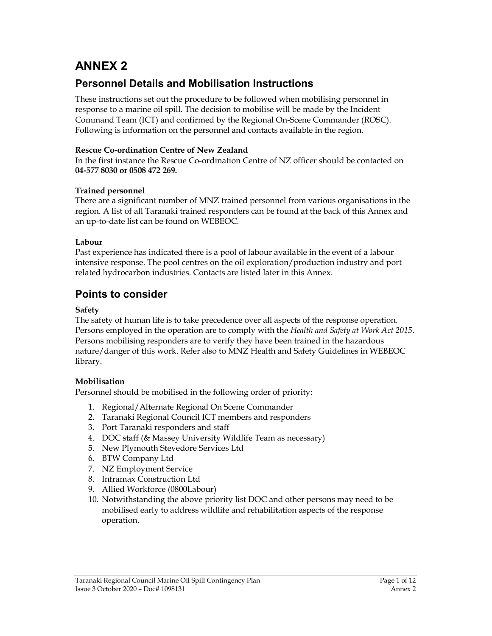# ANNEX 2

## Personnel Details and Mobilisation Instructions

These instructions set out the procedure to be followed when mobilising personnel in response to a marine oil spill. The decision to mobilise will be made by the Incident Command Team (ICT) and confirmed by the Regional On-Scene Commander (ROSC). Following is information on the personnel and contacts available in the region.

## Rescue Co-ordination Centre of New Zealand

In the first instance the Rescue Co-ordination Centre of NZ officer should be contacted on 04-577 8030 or 0508 472 269.

## Trained personnel

There are a significant number of MNZ trained personnel from various organisations in the region. A list of all Taranaki trained responders can be found at the back of this Annex and an up-to-date list can be found on WEBEOC.

## Labour

Past experience has indicated there is a pool of labour available in the event of a labour intensive response. The pool centres on the oil exploration/production industry and port related hydrocarbon industries. Contacts are listed later in this Annex.

## Points to consider

## Safety

The safety of human life is to take precedence over all aspects of the response operation. Persons employed in the operation are to comply with the Health and Safety at Work Act 2015. Persons mobilising responders are to verify they have been trained in the hazardous nature/danger of this work. Refer also to MNZ Health and Safety Guidelines in WEBEOC library.

## Mobilisation

Personnel should be mobilised in the following order of priority:

- 1. Regional/Alternate Regional On Scene Commander
- 2. Taranaki Regional Council ICT members and responders
- 3. Port Taranaki responders and staff
- 4. DOC staff (& Massey University Wildlife Team as necessary)
- 5. New Plymouth Stevedore Services Ltd
- 6. BTW Company Ltd
- 7. NZ Employment Service
- 8. Inframax Construction Ltd
- 9. Allied Workforce (0800Labour)
- 10. Notwithstanding the above priority list DOC and other persons may need to be mobilised early to address wildlife and rehabilitation aspects of the response operation.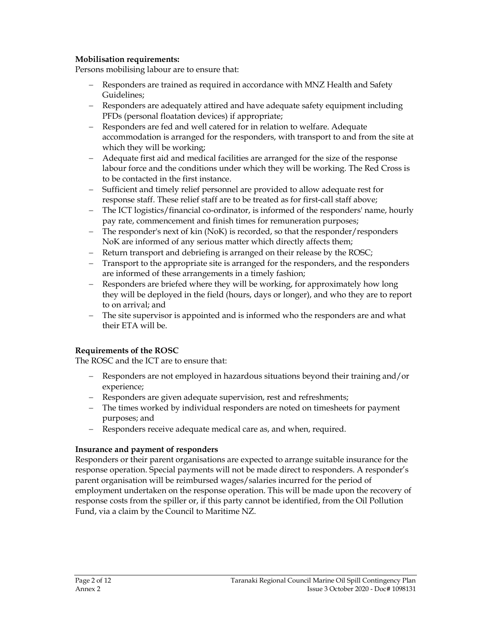### Mobilisation requirements:

Persons mobilising labour are to ensure that:

- Responders are trained as required in accordance with MNZ Health and Safety Guidelines;
- Responders are adequately attired and have adequate safety equipment including PFDs (personal floatation devices) if appropriate;
- Responders are fed and well catered for in relation to welfare. Adequate accommodation is arranged for the responders, with transport to and from the site at which they will be working;
- Adequate first aid and medical facilities are arranged for the size of the response labour force and the conditions under which they will be working. The Red Cross is to be contacted in the first instance.
- Sufficient and timely relief personnel are provided to allow adequate rest for response staff. These relief staff are to be treated as for first-call staff above;
- The ICT logistics/financial co-ordinator, is informed of the responders' name, hourly pay rate, commencement and finish times for remuneration purposes;
- The responder's next of kin (NoK) is recorded, so that the responder/responders NoK are informed of any serious matter which directly affects them;
- Return transport and debriefing is arranged on their release by the ROSC;
- Transport to the appropriate site is arranged for the responders, and the responders are informed of these arrangements in a timely fashion;
- Responders are briefed where they will be working, for approximately how long they will be deployed in the field (hours, days or longer), and who they are to report to on arrival; and
- The site supervisor is appointed and is informed who the responders are and what their ETA will be.

### Requirements of the ROSC

The ROSC and the ICT are to ensure that:

- Responders are not employed in hazardous situations beyond their training and/or experience;
- Responders are given adequate supervision, rest and refreshments;
- The times worked by individual responders are noted on timesheets for payment purposes; and
- Responders receive adequate medical care as, and when, required.

### Insurance and payment of responders

Responders or their parent organisations are expected to arrange suitable insurance for the response operation. Special payments will not be made direct to responders. A responder's parent organisation will be reimbursed wages/salaries incurred for the period of employment undertaken on the response operation. This will be made upon the recovery of response costs from the spiller or, if this party cannot be identified, from the Oil Pollution Fund, via a claim by the Council to Maritime NZ.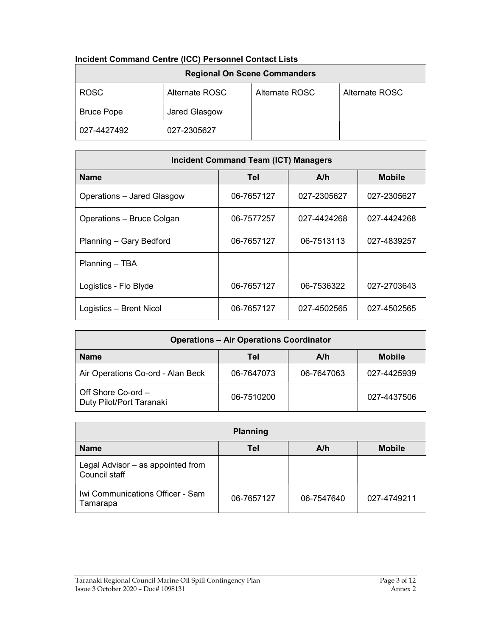| <u>MUNGHI COMMIQUE CENTE (ICC) FEISOMNEI CONTACT LISTS</u><br><b>Regional On Scene Commanders</b> |                |                |                |  |  |
|---------------------------------------------------------------------------------------------------|----------------|----------------|----------------|--|--|
| <b>ROSC</b>                                                                                       | Alternate ROSC | Alternate ROSC | Alternate ROSC |  |  |
| <b>Bruce Pope</b>                                                                                 | Jared Glasgow  |                |                |  |  |
| 027-4427492                                                                                       | 027-2305627    |                |                |  |  |

| 021 - TTL I TUL                             | <u>ULI-LUUUULI</u> |  |            |             |  |               |  |
|---------------------------------------------|--------------------|--|------------|-------------|--|---------------|--|
|                                             |                    |  |            |             |  |               |  |
| <b>Incident Command Team (ICT) Managers</b> |                    |  |            |             |  |               |  |
| <b>Name</b>                                 |                    |  | Tel        | A/h         |  | <b>Mobile</b> |  |
| Operations - Jared Glasgow                  |                    |  | 06-7657127 | 027-2305627 |  | 027-2305627   |  |
| Operations - Bruce Colgan                   |                    |  | 06-7577257 | 027-4424268 |  | 027-4424268   |  |
| Planning - Gary Bedford                     |                    |  | 06-7657127 | 06-7513113  |  | 027-4839257   |  |
| Planning - TBA                              |                    |  |            |             |  |               |  |

| Logistics - Brent Nicol                        | 06-7657127 | 027-4502565 | 027-4502565   |  |  |  |
|------------------------------------------------|------------|-------------|---------------|--|--|--|
|                                                |            |             |               |  |  |  |
| <b>Operations - Air Operations Coordinator</b> |            |             |               |  |  |  |
| <b>Name</b>                                    | Tel        | A/h         | <b>Mobile</b> |  |  |  |
| Air Operatione Co-ord - Alan Reck              | 06-7647073 | 06-7617063  | 027-1125030   |  |  |  |

Logistics - Flo Blyde | 06-7657127 | 06-7536322 | 027-2703643

| Air Operations Co-ord - Alan Beck                | 06-7647073 | 06-7647063 | 027-4425939 |
|--------------------------------------------------|------------|------------|-------------|
| Off Shore Co-ord $-$<br>Duty Pilot/Port Taranaki | 06-7510200 |            | 027-4437506 |

| <b>Planning</b>                                    |            |            |               |  |  |
|----------------------------------------------------|------------|------------|---------------|--|--|
| <b>Name</b>                                        | Tel        | A/h        | <b>Mobile</b> |  |  |
| Legal Advisor - as appointed from<br>Council staff |            |            |               |  |  |
| Iwi Communications Officer - Sam<br>Tamarapa       | 06-7657127 | 06-7547640 | 027-4749211   |  |  |

### Incident Command Centre (ICC) Personnel Contact Lists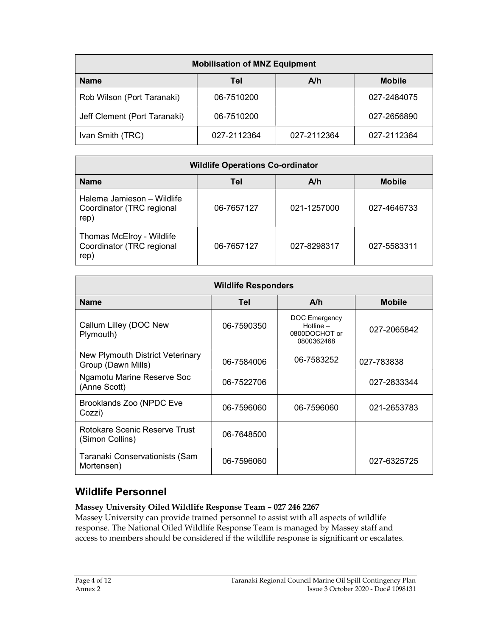| <b>Mobilisation of MNZ Equipment</b>       |             |             |             |  |  |  |
|--------------------------------------------|-------------|-------------|-------------|--|--|--|
| <b>Mobile</b><br><b>Name</b><br>A/h<br>Tel |             |             |             |  |  |  |
| Rob Wilson (Port Taranaki)                 | 06-7510200  |             | 027-2484075 |  |  |  |
| Jeff Clement (Port Taranaki)               | 06-7510200  |             | 027-2656890 |  |  |  |
| Ivan Smith (TRC)                           | 027-2112364 | 027-2112364 | 027-2112364 |  |  |  |

| <b>Wildlife Operations Co-ordinator</b>                         |            |             |               |  |  |
|-----------------------------------------------------------------|------------|-------------|---------------|--|--|
| <b>Name</b>                                                     | Tel        | A/h         | <b>Mobile</b> |  |  |
| Halema Jamieson – Wildlife<br>Coordinator (TRC regional<br>rep) | 06-7657127 | 021-1257000 | 027-4646733   |  |  |
| Thomas McElroy - Wildlife<br>Coordinator (TRC regional<br>rep)  | 06-7657127 | 027-8298317 | 027-5583311   |  |  |

| <b>Wildlife Responders</b>                             |            |                                                                    |               |  |  |
|--------------------------------------------------------|------------|--------------------------------------------------------------------|---------------|--|--|
| <b>Name</b>                                            | Tel        | A/h                                                                | <b>Mobile</b> |  |  |
| Callum Lilley (DOC New<br>Plymouth)                    | 06-7590350 | <b>DOC</b> Emergency<br>Hotline $-$<br>0800DOCHOT or<br>0800362468 | 027-2065842   |  |  |
| New Plymouth District Veterinary<br>Group (Dawn Mills) | 06-7584006 | 06-7583252                                                         | 027-783838    |  |  |
| Ngamotu Marine Reserve Soc<br>(Anne Scott)             | 06-7522706 |                                                                    | 027-2833344   |  |  |
| Brooklands Zoo (NPDC Eve<br>Cozzi)                     | 06-7596060 | 06-7596060                                                         | 021-2653783   |  |  |
| Rotokare Scenic Reserve Trust<br>(Simon Collins)       | 06-7648500 |                                                                    |               |  |  |
| Taranaki Conservationists (Sam<br>Mortensen)           | 06-7596060 |                                                                    | 027-6325725   |  |  |

## Wildlife Personnel

## Massey University Oiled Wildlife Response Team – 027 246 2267

Massey University can provide trained personnel to assist with all aspects of wildlife response. The National Oiled Wildlife Response Team is managed by Massey staff and access to members should be considered if the wildlife response is significant or escalates.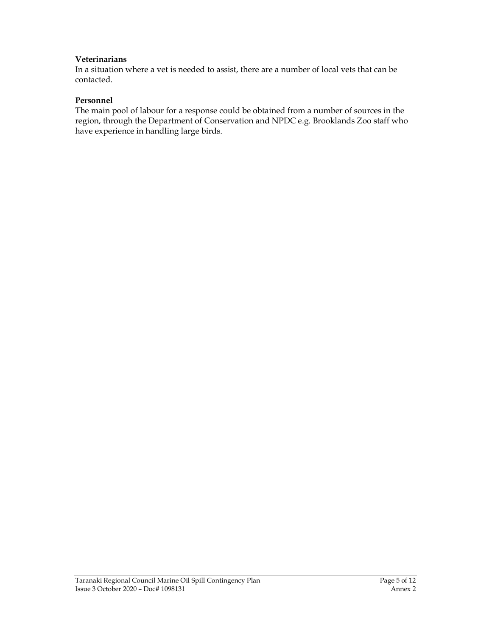#### Veterinarians

In a situation where a vet is needed to assist, there are a number of local vets that can be contacted.

#### Personnel

The main pool of labour for a response could be obtained from a number of sources in the region, through the Department of Conservation and NPDC e.g. Brooklands Zoo staff who have experience in handling large birds.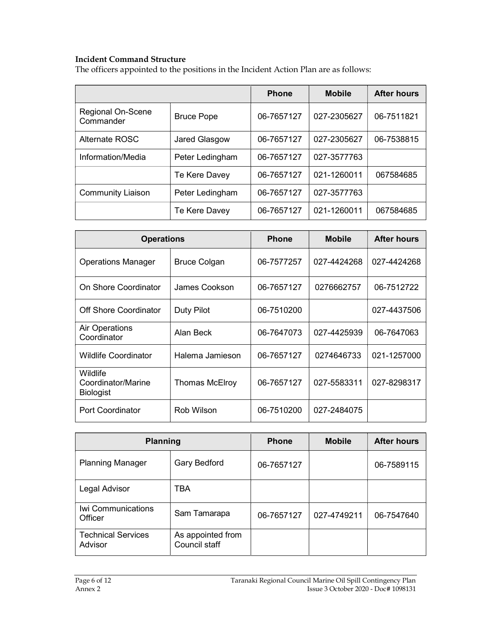### Incident Command Structure

The officers appointed to the positions in the Incident Action Plan are as follows:

|                                |                   | <b>Phone</b> | <b>Mobile</b> | <b>After hours</b> |
|--------------------------------|-------------------|--------------|---------------|--------------------|
| Regional On-Scene<br>Commander | <b>Bruce Pope</b> | 06-7657127   | 027-2305627   | 06-7511821         |
| Alternate ROSC                 | Jared Glasgow     | 06-7657127   | 027-2305627   | 06-7538815         |
| Information/Media              | Peter Ledingham   | 06-7657127   | 027-3577763   |                    |
|                                | Te Kere Davey     | 06-7657127   | 021-1260011   | 067584685          |
| <b>Community Liaison</b>       | Peter Ledingham   | 06-7657127   | 027-3577763   |                    |
|                                | Te Kere Davey     | 06-7657127   | 021-1260011   | 067584685          |

| <b>Operations</b>                                  |                     | <b>Phone</b> | <b>Mobile</b> | <b>After hours</b> |
|----------------------------------------------------|---------------------|--------------|---------------|--------------------|
| <b>Operations Manager</b>                          | <b>Bruce Colgan</b> | 06-7577257   | 027-4424268   | 027-4424268        |
| On Shore Coordinator                               | James Cookson       | 06-7657127   | 0276662757    | 06-7512722         |
| Off Shore Coordinator                              | Duty Pilot          | 06-7510200   |               | 027-4437506        |
| Air Operations<br>Coordinator                      | Alan Beck           | 06-7647073   | 027-4425939   | 06-7647063         |
| <b>Wildlife Coordinator</b>                        | Halema Jamieson     | 06-7657127   | 0274646733    | 021-1257000        |
| Wildlife<br>Coordinator/Marine<br><b>Biologist</b> | Thomas McElroy      | 06-7657127   | 027-5583311   | 027-8298317        |
| Port Coordinator                                   | Rob Wilson          | 06-7510200   | 027-2484075   |                    |

| <b>Planning</b>                      |                                    | <b>Phone</b> | <b>Mobile</b> | <b>After hours</b> |
|--------------------------------------|------------------------------------|--------------|---------------|--------------------|
| <b>Planning Manager</b>              | Gary Bedford                       | 06-7657127   |               | 06-7589115         |
| Legal Advisor                        | TBA                                |              |               |                    |
| Iwi Communications<br>Officer        | Sam Tamarapa                       | 06-7657127   | 027-4749211   | 06-7547640         |
| <b>Technical Services</b><br>Advisor | As appointed from<br>Council staff |              |               |                    |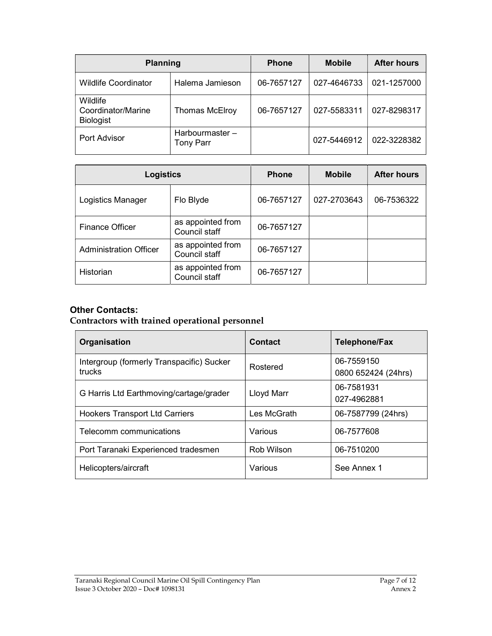| <b>Planning</b>                                    |                                     | <b>Phone</b> | <b>Mobile</b> | <b>After hours</b> |
|----------------------------------------------------|-------------------------------------|--------------|---------------|--------------------|
| <b>Wildlife Coordinator</b>                        | Halema Jamieson                     | 06-7657127   | 027-4646733   | 021-1257000        |
| Wildlife<br>Coordinator/Marine<br><b>Biologist</b> | <b>Thomas McElroy</b>               | 06-7657127   | 027-5583311   | 027-8298317        |
| Port Advisor                                       | Harbourmaster -<br><b>Tony Parr</b> |              | 027-5446912   | 022-3228382        |

| <b>Logistics</b>              |                                    | <b>Phone</b> | <b>Mobile</b> | <b>After hours</b> |
|-------------------------------|------------------------------------|--------------|---------------|--------------------|
| Logistics Manager             | Flo Blyde                          | 06-7657127   | 027-2703643   | 06-7536322         |
| <b>Finance Officer</b>        | as appointed from<br>Council staff | 06-7657127   |               |                    |
| <b>Administration Officer</b> | as appointed from<br>Council staff | 06-7657127   |               |                    |
| <b>Historian</b>              | as appointed from<br>Council staff | 06-7657127   |               |                    |

## Other Contacts:

## Contractors with trained operational personnel

| Organisation                                        | <b>Contact</b> | <b>Telephone/Fax</b>              |
|-----------------------------------------------------|----------------|-----------------------------------|
| Intergroup (formerly Transpacific) Sucker<br>trucks | Rostered       | 06-7559150<br>0800 652424 (24hrs) |
| G Harris Ltd Earthmoving/cartage/grader             | Lloyd Marr     | 06-7581931<br>027-4962881         |
| <b>Hookers Transport Ltd Carriers</b>               | Les McGrath    | 06-7587799 (24hrs)                |
| Telecomm communications                             | Various        | 06-7577608                        |
| Port Taranaki Experienced tradesmen                 | Rob Wilson     | 06-7510200                        |
| Helicopters/aircraft                                | Various        | See Annex 1                       |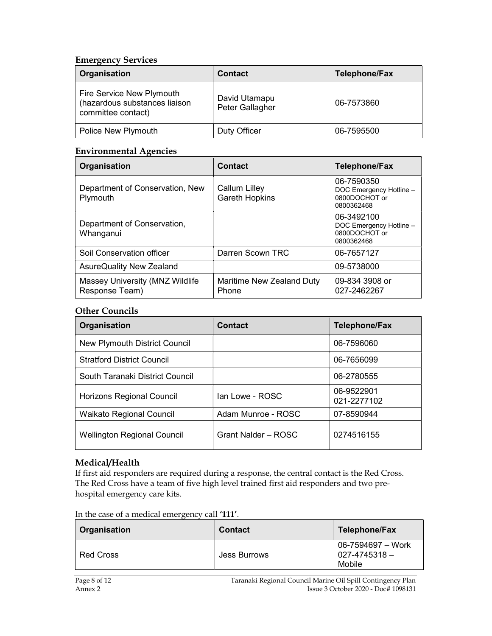## Emergency Services

| Organisation                                                                     | <b>Contact</b>                   | <b>Telephone/Fax</b> |
|----------------------------------------------------------------------------------|----------------------------------|----------------------|
| Fire Service New Plymouth<br>(hazardous substances liaison<br>committee contact) | David Utamapu<br>Peter Gallagher | 06-7573860           |
| Police New Plymouth                                                              | Duty Officer                     | 06-7595500           |

### Environmental Agencies

| Organisation                                      | <b>Contact</b>                     | <b>Telephone/Fax</b>                                                 |
|---------------------------------------------------|------------------------------------|----------------------------------------------------------------------|
| Department of Conservation, New<br>Plymouth       | Callum Lilley<br>Gareth Hopkins    | 06-7590350<br>DOC Emergency Hotline -<br>0800DOCHOT or<br>0800362468 |
| Department of Conservation,<br>Whanganui          |                                    | 06-3492100<br>DOC Emergency Hotline -<br>0800DOCHOT or<br>0800362468 |
| Soil Conservation officer                         | Darren Scown TRC                   | 06-7657127                                                           |
| AsureQuality New Zealand                          |                                    | 09-5738000                                                           |
| Massey University (MNZ Wildlife<br>Response Team) | Maritime New Zealand Duty<br>Phone | 09-834 3908 or<br>027-2462267                                        |

## Other Councils

| Organisation                         | Contact             | <b>Telephone/Fax</b>      |
|--------------------------------------|---------------------|---------------------------|
| <b>New Plymouth District Council</b> |                     | 06-7596060                |
| <b>Stratford District Council</b>    |                     | 06-7656099                |
| South Taranaki District Council      |                     | 06-2780555                |
| Horizons Regional Council            | Ian Lowe - ROSC     | 06-9522901<br>021-2277102 |
| Waikato Regional Council             | Adam Munroe - ROSC  | 07-8590944                |
| <b>Wellington Regional Council</b>   | Grant Nalder - ROSC | 0274516155                |

## Medical/Health

If first aid responders are required during a response, the central contact is the Red Cross. The Red Cross have a team of five high level trained first aid responders and two prehospital emergency care kits.

| Organisation     | <b>Contact</b> | Telephone/Fax                                    |
|------------------|----------------|--------------------------------------------------|
| <b>Red Cross</b> | Jess Burrows   | 06-7594697 – Work<br>$027 - 4745318 -$<br>Mobile |

### In the case of a medical emergency call '111'.

Page 8 of 12 Taranaki Regional Council Marine Oil Spill Contingency Plan<br>Annex 2 Issue 3 October 2020 - Doc# 1098131 Issue 3 October 2020 - Doc# 1098131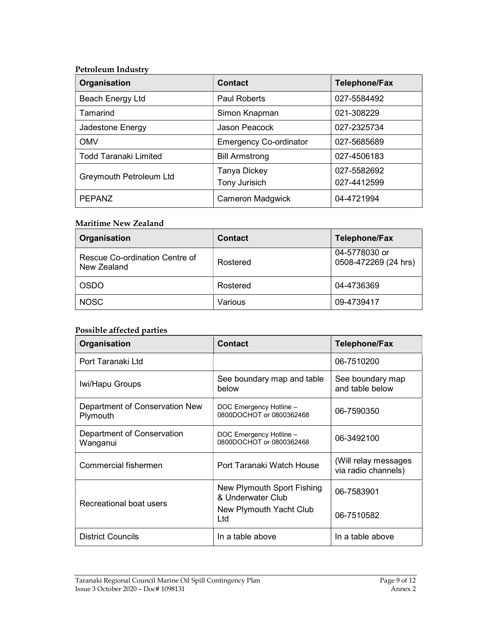#### Petroleum Industry

| Organisation                 | <b>Contact</b>                       | <b>Telephone/Fax</b>       |
|------------------------------|--------------------------------------|----------------------------|
| Beach Energy Ltd             | <b>Paul Roberts</b>                  | 027-5584492                |
| Tamarind                     | Simon Knapman                        | 021-308229                 |
| Jadestone Energy             | Jason Peacock                        | 027-2325734                |
| <b>OMV</b>                   | <b>Emergency Co-ordinator</b>        | 027-5685689                |
| <b>Todd Taranaki Limited</b> | <b>Bill Armstrong</b>                | 027-4506183                |
| Greymouth Petroleum Ltd      | Tanya Dickey<br><b>Tony Jurisich</b> | 027-5582692<br>027-4412599 |
| <b>PEPANZ</b>                | <b>Cameron Madgwick</b>              | 04-4721994                 |

### Maritime New Zealand

| Organisation                                  | <b>Contact</b> | <b>Telephone/Fax</b>                  |
|-----------------------------------------------|----------------|---------------------------------------|
| Rescue Co-ordination Centre of<br>New Zealand | Rostered       | 04-5778030 or<br>0508-472269 (24 hrs) |
| <b>OSDO</b>                                   | Rostered       | 04-4736369                            |
| <b>NOSC</b>                                   | Various        | 09-4739417                            |

### Possible affected parties

| Organisation                               | <b>Contact</b>                                      | <b>Telephone/Fax</b>                        |
|--------------------------------------------|-----------------------------------------------------|---------------------------------------------|
| Port Taranaki Ltd                          |                                                     | 06-7510200                                  |
| Iwi/Hapu Groups                            | See boundary map and table<br>below                 | See boundary map<br>and table below         |
| Department of Conservation New<br>Plymouth | DOC Emergency Hotline -<br>0800DOCHOT or 0800362468 | 06-7590350                                  |
| Department of Conservation<br>Wanganui     | DOC Emergency Hotline -<br>0800DOCHOT or 0800362468 | 06-3492100                                  |
| Commercial fishermen                       | Port Taranaki Watch House                           | (Will relay messages<br>via radio channels) |
| Recreational boat users                    | New Plymouth Sport Fishing<br>& Underwater Club     | 06-7583901                                  |
|                                            | New Plymouth Yacht Club<br>Ltd                      | 06-7510582                                  |
| <b>District Councils</b>                   | In a table above                                    | In a table above                            |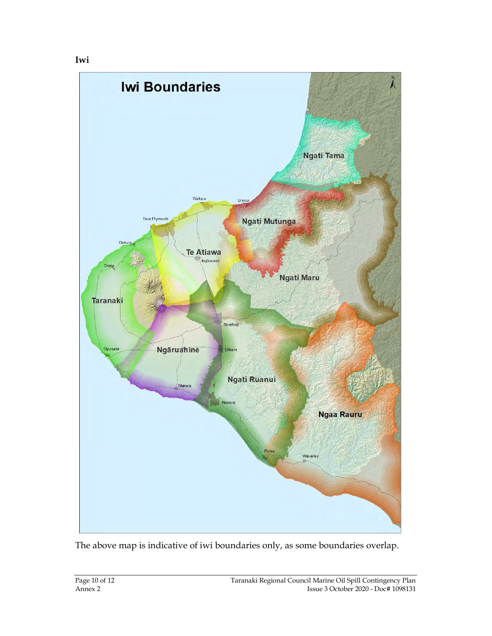

The above map is indicative of iwi boundaries only, as some boundaries overlap.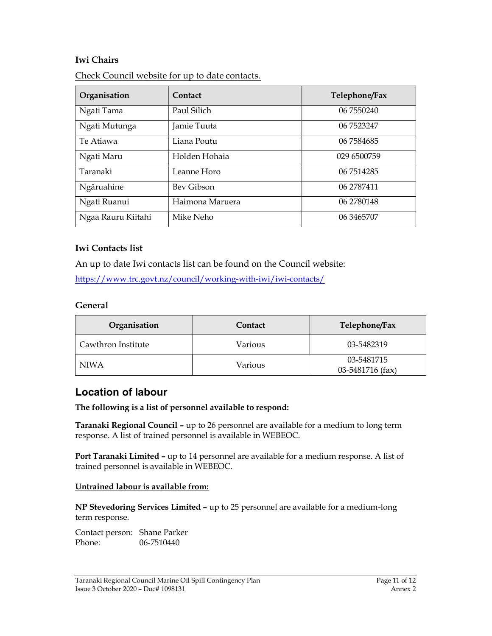## Iwi Chairs

| Organisation       | Contact         | Telephone/Fax |
|--------------------|-----------------|---------------|
| Ngati Tama         | Paul Silich     | 06 7550240    |
| Ngati Mutunga      | Jamie Tuuta     | 06 7523247    |
| Te Atiawa          | Liana Poutu     | 06 7584685    |
| Ngati Maru         | Holden Hohaia   | 029 6500759   |
| Taranaki           | Leanne Horo     | 06 7514285    |
| Ngāruahine         | Bey Gibson      | 06 2787411    |
| Ngati Ruanui       | Haimona Maruera | 06 2780148    |
| Ngaa Rauru Kiitahi | Mike Neho       | 06 34 65 70 7 |

Check Council website for up to date contacts.

## Iwi Contacts list

An up to date Iwi contacts list can be found on the Council website:

https://www.trc.govt.nz/council/working-with-iwi/iwi-contacts/

### General

| Organisation       | Contact | Telephone/Fax                  |
|--------------------|---------|--------------------------------|
| Cawthron Institute | Various | 03-5482319                     |
| NIWA               | Various | 03-5481715<br>03-5481716 (fax) |

## Location of labour

The following is a list of personnel available to respond:

Taranaki Regional Council – up to 26 personnel are available for a medium to long term response. A list of trained personnel is available in WEBEOC.

Port Taranaki Limited – up to 14 personnel are available for a medium response. A list of trained personnel is available in WEBEOC.

### Untrained labour is available from:

NP Stevedoring Services Limited – up to 25 personnel are available for a medium-long term response.

Contact person: Shane Parker Phone: 06-7510440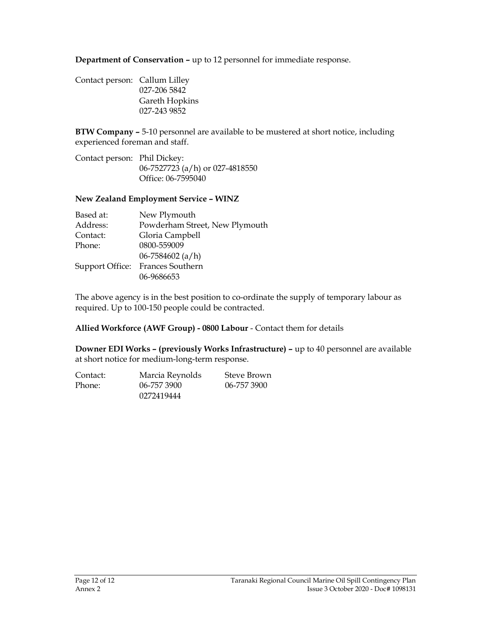Department of Conservation – up to 12 personnel for immediate response.

| Contact person: Callum Lilley |                |
|-------------------------------|----------------|
|                               | 027-206 5842   |
|                               | Gareth Hopkins |
|                               | 027-243 9852   |
|                               |                |

BTW Company – 5-10 personnel are available to be mustered at short notice, including experienced foreman and staff.

Contact person: Phil Dickey: 06-7527723 (a/h) or 027-4818550 Office: 06-7595040

### New Zealand Employment Service – WINZ

| Based at: | New Plymouth                     |
|-----------|----------------------------------|
| Address:  | Powderham Street, New Plymouth   |
| Contact:  | Gloria Campbell                  |
| Phone:    | 0800-559009                      |
|           | 06-7584602 $(a/h)$               |
|           | Support Office: Frances Southern |
|           | 06-9686653                       |

The above agency is in the best position to co-ordinate the supply of temporary labour as required. Up to 100-150 people could be contracted.

Allied Workforce (AWF Group) - 0800 Labour - Contact them for details

Downer EDI Works – (previously Works Infrastructure) – up to 40 personnel are available at short notice for medium-long-term response.

| Contact: | Marcia Reynolds | Steve Brown |
|----------|-----------------|-------------|
| Phone:   | 06-757 3900     | 06-757 3900 |
|          | 0272419444      |             |